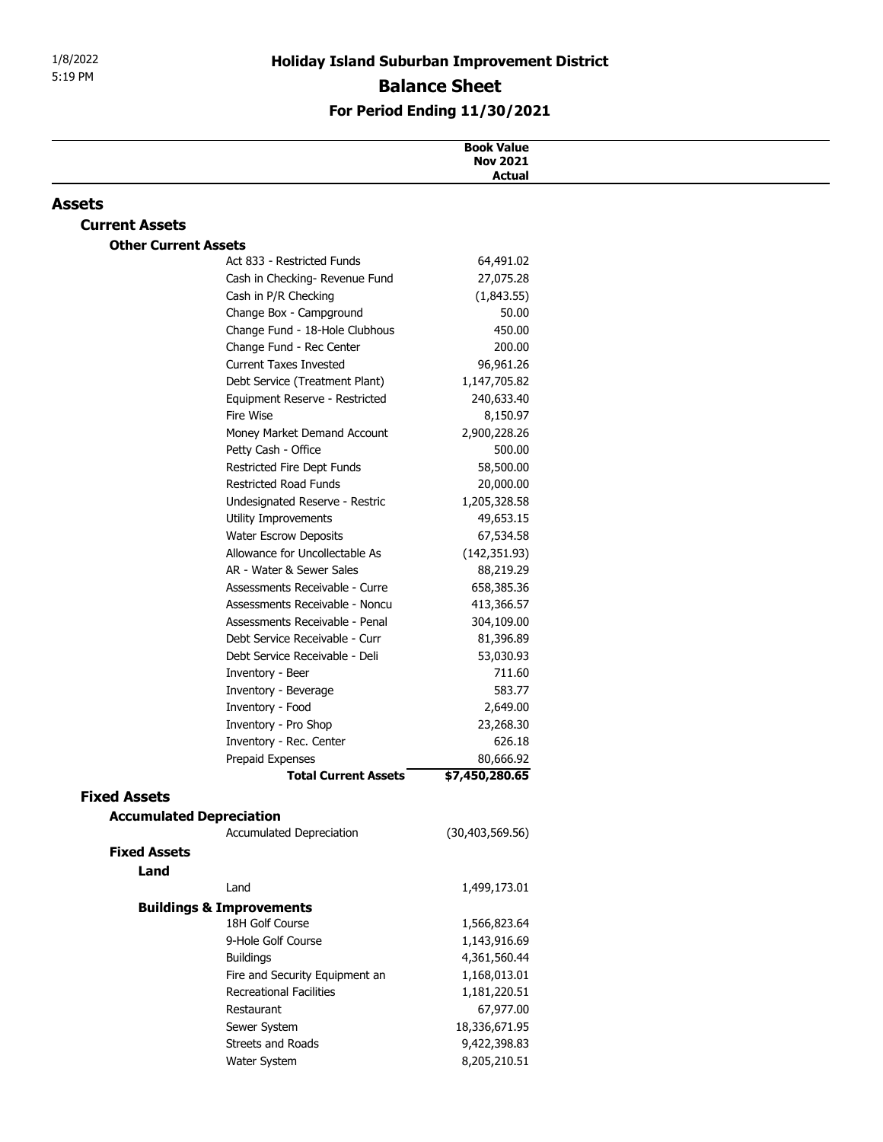## **Balance Sheet**

| 1/8/2022                    | <b>Holiday Island Suburban Improvement District</b>              |                              |  |
|-----------------------------|------------------------------------------------------------------|------------------------------|--|
| 5:19 PM                     | <b>Balance Sheet</b>                                             |                              |  |
|                             |                                                                  | For Period Ending 11/30/2021 |  |
|                             |                                                                  |                              |  |
|                             | <b>Book Value</b><br><b>Nov 2021</b>                             |                              |  |
|                             |                                                                  | <b>Actual</b>                |  |
| Assets                      |                                                                  |                              |  |
| <b>Current Assets</b>       |                                                                  |                              |  |
| <b>Other Current Assets</b> | Act 833 - Restricted Funds                                       | 64,491.02                    |  |
|                             | Cash in Checking- Revenue Fund                                   | 27,075.28                    |  |
|                             | Cash in P/R Checking                                             | (1,843.55)                   |  |
|                             | Change Box - Campground                                          | 50.00                        |  |
|                             | Change Fund - 18-Hole Clubhous                                   | 450.00                       |  |
|                             | Change Fund - Rec Center                                         | 200.00                       |  |
|                             | <b>Current Taxes Invested</b>                                    | 96,961.26                    |  |
|                             | Debt Service (Treatment Plant)<br>Equipment Reserve - Restricted | 1,147,705.82<br>240,633.40   |  |
|                             | Fire Wise                                                        | 8,150.97                     |  |
|                             | Money Market Demand Account                                      | 2,900,228.26                 |  |
|                             | Petty Cash - Office                                              | 500.00                       |  |
|                             | Restricted Fire Dept Funds                                       | 58,500.00                    |  |
|                             | Restricted Road Funds                                            | 20,000.00                    |  |
|                             | Undesignated Reserve - Restric                                   | 1,205,328.58                 |  |
|                             | Utility Improvements<br>Water Escrow Deposits                    | 49,653.15<br>67,534.58       |  |
|                             | Allowance for Uncollectable As                                   | (142, 351.93)                |  |
|                             | AR - Water & Sewer Sales                                         | 88,219.29                    |  |
|                             | Assessments Receivable - Curre                                   | 658,385.36                   |  |
|                             | Assessments Receivable - Noncu                                   | 413,366.57                   |  |
|                             | Assessments Receivable - Penal<br>Debt Service Receivable - Curr | 304,109.00                   |  |
|                             | Debt Service Receivable - Deli                                   | 81,396.89<br>53,030.93       |  |
|                             | Inventory - Beer                                                 | 711.60                       |  |
|                             | Inventory - Beverage                                             | 583.77                       |  |
|                             | Inventory - Food                                                 | 2,649.00                     |  |
|                             | Inventory - Pro Shop                                             | 23,268.30                    |  |
|                             | Inventory - Rec. Center                                          | 626.18                       |  |
|                             | Prepaid Expenses<br><b>Total Current Assets</b>                  | 80,666.92<br>\$7,450,280.65  |  |
| <b>Fixed Assets</b>         |                                                                  |                              |  |
|                             | <b>Accumulated Depreciation</b>                                  |                              |  |
|                             | Accumulated Depreciation                                         | (30, 403, 569.56)            |  |
| <b>Fixed Assets</b>         |                                                                  |                              |  |
| Land                        |                                                                  |                              |  |
|                             | Land                                                             | 1,499,173.01                 |  |
|                             | <b>Buildings &amp; Improvements</b>                              |                              |  |
|                             | 18H Golf Course                                                  | 1,566,823.64                 |  |
|                             | 9-Hole Golf Course                                               | 1,143,916.69                 |  |
|                             | <b>Buildings</b><br>Fire and Security Equipment an               | 4,361,560.44<br>1,168,013.01 |  |
|                             | <b>Recreational Facilities</b>                                   | 1,181,220.51                 |  |
|                             | Restaurant                                                       | 67,977.00                    |  |
|                             | Sewer System                                                     | 18,336,671.95                |  |
|                             | Streets and Roads                                                | 9,422,398.83                 |  |
|                             | Water System                                                     | 8,205,210.51                 |  |